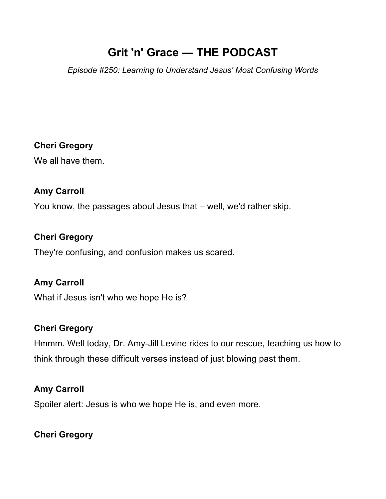# **Grit 'n' Grace — THE PODCAST**

*Episode #250: Learning to Understand Jesus' Most Confusing Words*

### **Cheri Gregory**

We all have them.

#### **Amy Carroll**

You know, the passages about Jesus that – well, we'd rather skip.

#### **Cheri Gregory**

They're confusing, and confusion makes us scared.

### **Amy Carroll**

What if Jesus isn't who we hope He is?

#### **Cheri Gregory**

Hmmm. Well today, Dr. Amy-Jill Levine rides to our rescue, teaching us how to think through these difficult verses instead of just blowing past them.

#### **Amy Carroll**

Spoiler alert: Jesus is who we hope He is, and even more.

### **Cheri Gregory**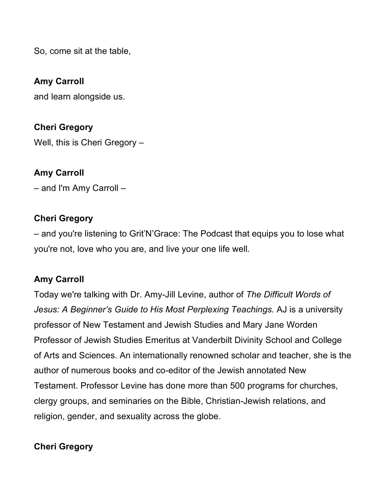So, come sit at the table,

#### **Amy Carroll**

and learn alongside us.

**Cheri Gregory**  Well, this is Cheri Gregory –

### **Amy Carroll**

– and I'm Amy Carroll –

#### **Cheri Gregory**

– and you're listening to Grit'N'Grace: The Podcast that equips you to lose what you're not, love who you are, and live your one life well.

### **Amy Carroll**

Today we're talking with Dr. Amy-Jill Levine, author of *The Difficult Words of Jesus: A Beginner's Guide to His Most Perplexing Teachings.* AJ is a university professor of New Testament and Jewish Studies and Mary Jane Worden Professor of Jewish Studies Emeritus at Vanderbilt Divinity School and College of Arts and Sciences. An internationally renowned scholar and teacher, she is the author of numerous books and co-editor of the Jewish annotated New Testament. Professor Levine has done more than 500 programs for churches, clergy groups, and seminaries on the Bible, Christian-Jewish relations, and religion, gender, and sexuality across the globe.

### **Cheri Gregory**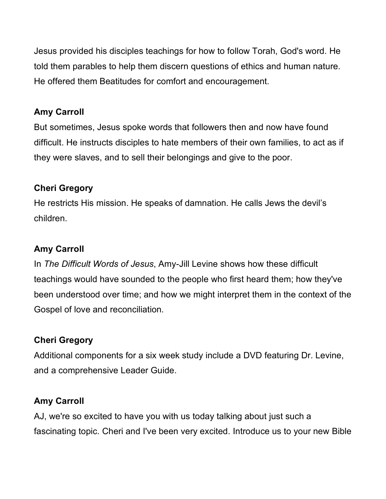Jesus provided his disciples teachings for how to follow Torah, God's word. He told them parables to help them discern questions of ethics and human nature. He offered them Beatitudes for comfort and encouragement.

### **Amy Carroll**

But sometimes, Jesus spoke words that followers then and now have found difficult. He instructs disciples to hate members of their own families, to act as if they were slaves, and to sell their belongings and give to the poor.

### **Cheri Gregory**

He restricts His mission. He speaks of damnation. He calls Jews the devil's children.

### **Amy Carroll**

In *The Difficult Words of Jesus*, Amy-Jill Levine shows how these difficult teachings would have sounded to the people who first heard them; how they've been understood over time; and how we might interpret them in the context of the Gospel of love and reconciliation.

# **Cheri Gregory**

Additional components for a six week study include a DVD featuring Dr. Levine, and a comprehensive Leader Guide.

# **Amy Carroll**

AJ, we're so excited to have you with us today talking about just such a fascinating topic. Cheri and I've been very excited. Introduce us to your new Bible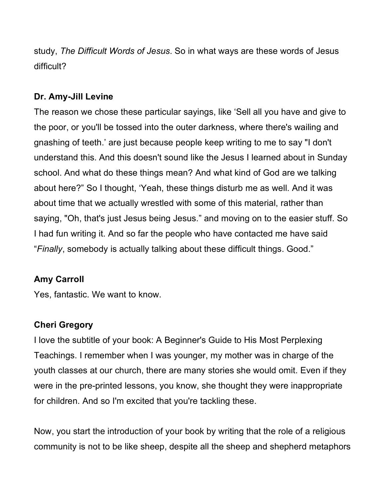study, *The Difficult Words of Jesus*. So in what ways are these words of Jesus difficult?

### **Dr. Amy-Jill Levine**

The reason we chose these particular sayings, like 'Sell all you have and give to the poor, or you'll be tossed into the outer darkness, where there's wailing and gnashing of teeth.' are just because people keep writing to me to say "I don't understand this. And this doesn't sound like the Jesus I learned about in Sunday school. And what do these things mean? And what kind of God are we talking about here?" So I thought, 'Yeah, these things disturb me as well. And it was about time that we actually wrestled with some of this material, rather than saying, "Oh, that's just Jesus being Jesus." and moving on to the easier stuff. So I had fun writing it. And so far the people who have contacted me have said "*Finally*, somebody is actually talking about these difficult things. Good."

### **Amy Carroll**

Yes, fantastic. We want to know.

### **Cheri Gregory**

I love the subtitle of your book: A Beginner's Guide to His Most Perplexing Teachings. I remember when I was younger, my mother was in charge of the youth classes at our church, there are many stories she would omit. Even if they were in the pre-printed lessons, you know, she thought they were inappropriate for children. And so I'm excited that you're tackling these.

Now, you start the introduction of your book by writing that the role of a religious community is not to be like sheep, despite all the sheep and shepherd metaphors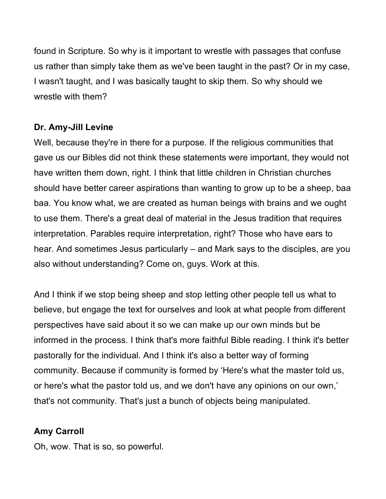found in Scripture. So why is it important to wrestle with passages that confuse us rather than simply take them as we've been taught in the past? Or in my case, I wasn't taught, and I was basically taught to skip them. So why should we wrestle with them?

### **Dr. Amy-Jill Levine**

Well, because they're in there for a purpose. If the religious communities that gave us our Bibles did not think these statements were important, they would not have written them down, right. I think that little children in Christian churches should have better career aspirations than wanting to grow up to be a sheep, baa baa. You know what, we are created as human beings with brains and we ought to use them. There's a great deal of material in the Jesus tradition that requires interpretation. Parables require interpretation, right? Those who have ears to hear. And sometimes Jesus particularly – and Mark says to the disciples, are you also without understanding? Come on, guys. Work at this.

And I think if we stop being sheep and stop letting other people tell us what to believe, but engage the text for ourselves and look at what people from different perspectives have said about it so we can make up our own minds but be informed in the process. I think that's more faithful Bible reading. I think it's better pastorally for the individual. And I think it's also a better way of forming community. Because if community is formed by 'Here's what the master told us, or here's what the pastor told us, and we don't have any opinions on our own,' that's not community. That's just a bunch of objects being manipulated.

### **Amy Carroll**

Oh, wow. That is so, so powerful.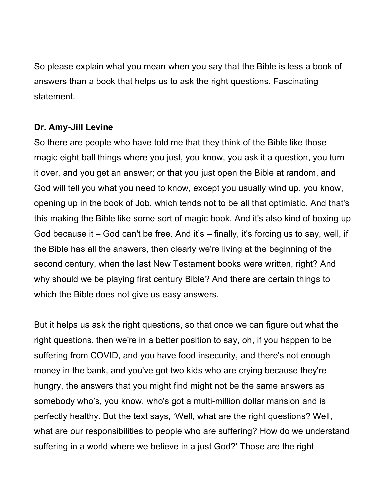So please explain what you mean when you say that the Bible is less a book of answers than a book that helps us to ask the right questions. Fascinating statement.

#### **Dr. Amy-Jill Levine**

So there are people who have told me that they think of the Bible like those magic eight ball things where you just, you know, you ask it a question, you turn it over, and you get an answer; or that you just open the Bible at random, and God will tell you what you need to know, except you usually wind up, you know, opening up in the book of Job, which tends not to be all that optimistic. And that's this making the Bible like some sort of magic book. And it's also kind of boxing up God because it – God can't be free. And it's – finally, it's forcing us to say, well, if the Bible has all the answers, then clearly we're living at the beginning of the second century, when the last New Testament books were written, right? And why should we be playing first century Bible? And there are certain things to which the Bible does not give us easy answers.

But it helps us ask the right questions, so that once we can figure out what the right questions, then we're in a better position to say, oh, if you happen to be suffering from COVID, and you have food insecurity, and there's not enough money in the bank, and you've got two kids who are crying because they're hungry, the answers that you might find might not be the same answers as somebody who's, you know, who's got a multi-million dollar mansion and is perfectly healthy. But the text says, 'Well, what are the right questions? Well, what are our responsibilities to people who are suffering? How do we understand suffering in a world where we believe in a just God?' Those are the right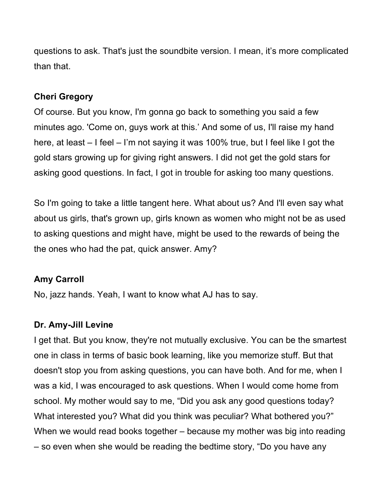questions to ask. That's just the soundbite version. I mean, it's more complicated than that.

#### **Cheri Gregory**

Of course. But you know, I'm gonna go back to something you said a few minutes ago. 'Come on, guys work at this.' And some of us, I'll raise my hand here, at least – I feel – I'm not saying it was 100% true, but I feel like I got the gold stars growing up for giving right answers. I did not get the gold stars for asking good questions. In fact, I got in trouble for asking too many questions.

So I'm going to take a little tangent here. What about us? And I'll even say what about us girls, that's grown up, girls known as women who might not be as used to asking questions and might have, might be used to the rewards of being the the ones who had the pat, quick answer. Amy?

### **Amy Carroll**

No, jazz hands. Yeah, I want to know what AJ has to say.

### **Dr. Amy-Jill Levine**

I get that. But you know, they're not mutually exclusive. You can be the smartest one in class in terms of basic book learning, like you memorize stuff. But that doesn't stop you from asking questions, you can have both. And for me, when I was a kid, I was encouraged to ask questions. When I would come home from school. My mother would say to me, "Did you ask any good questions today? What interested you? What did you think was peculiar? What bothered you?" When we would read books together – because my mother was big into reading – so even when she would be reading the bedtime story, "Do you have any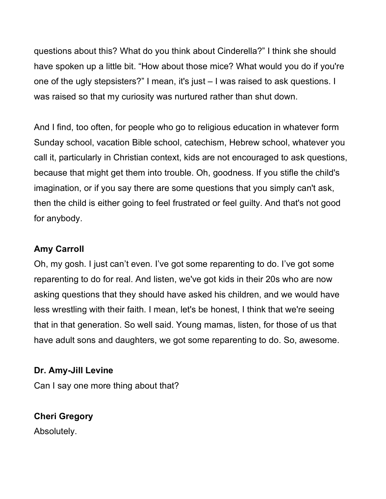questions about this? What do you think about Cinderella?" I think she should have spoken up a little bit. "How about those mice? What would you do if you're one of the ugly stepsisters?" I mean, it's just – I was raised to ask questions. I was raised so that my curiosity was nurtured rather than shut down.

And I find, too often, for people who go to religious education in whatever form Sunday school, vacation Bible school, catechism, Hebrew school, whatever you call it, particularly in Christian context, kids are not encouraged to ask questions, because that might get them into trouble. Oh, goodness. If you stifle the child's imagination, or if you say there are some questions that you simply can't ask, then the child is either going to feel frustrated or feel guilty. And that's not good for anybody.

### **Amy Carroll**

Oh, my gosh. I just can't even. I've got some reparenting to do. I've got some reparenting to do for real. And listen, we've got kids in their 20s who are now asking questions that they should have asked his children, and we would have less wrestling with their faith. I mean, let's be honest, I think that we're seeing that in that generation. So well said. Young mamas, listen, for those of us that have adult sons and daughters, we got some reparenting to do. So, awesome.

# **Dr. Amy-Jill Levine**

Can I say one more thing about that?

# **Cheri Gregory**

Absolutely.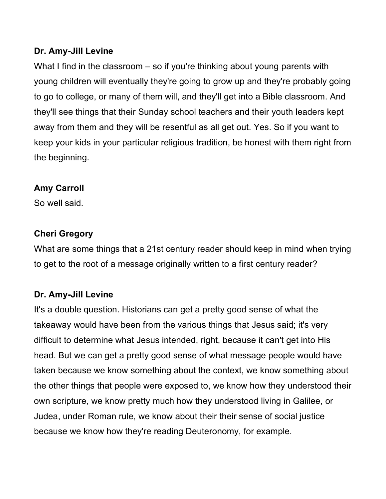### **Dr. Amy-Jill Levine**

What I find in the classroom – so if you're thinking about young parents with young children will eventually they're going to grow up and they're probably going to go to college, or many of them will, and they'll get into a Bible classroom. And they'll see things that their Sunday school teachers and their youth leaders kept away from them and they will be resentful as all get out. Yes. So if you want to keep your kids in your particular religious tradition, be honest with them right from the beginning.

### **Amy Carroll**

So well said.

### **Cheri Gregory**

What are some things that a 21st century reader should keep in mind when trying to get to the root of a message originally written to a first century reader?

# **Dr. Amy-Jill Levine**

It's a double question. Historians can get a pretty good sense of what the takeaway would have been from the various things that Jesus said; it's very difficult to determine what Jesus intended, right, because it can't get into His head. But we can get a pretty good sense of what message people would have taken because we know something about the context, we know something about the other things that people were exposed to, we know how they understood their own scripture, we know pretty much how they understood living in Galilee, or Judea, under Roman rule, we know about their their sense of social justice because we know how they're reading Deuteronomy, for example.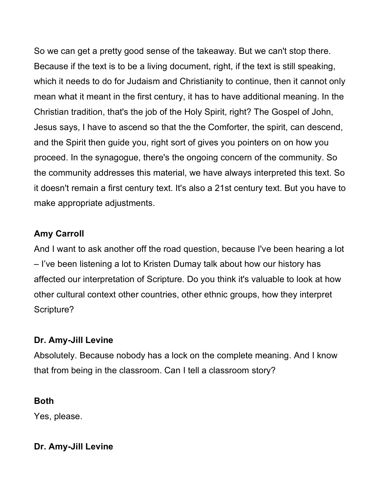So we can get a pretty good sense of the takeaway. But we can't stop there. Because if the text is to be a living document, right, if the text is still speaking, which it needs to do for Judaism and Christianity to continue, then it cannot only mean what it meant in the first century, it has to have additional meaning. In the Christian tradition, that's the job of the Holy Spirit, right? The Gospel of John, Jesus says, I have to ascend so that the the Comforter, the spirit, can descend, and the Spirit then guide you, right sort of gives you pointers on on how you proceed. In the synagogue, there's the ongoing concern of the community. So the community addresses this material, we have always interpreted this text. So it doesn't remain a first century text. It's also a 21st century text. But you have to make appropriate adjustments.

### **Amy Carroll**

And I want to ask another off the road question, because I've been hearing a lot – I've been listening a lot to Kristen Dumay talk about how our history has affected our interpretation of Scripture. Do you think it's valuable to look at how other cultural context other countries, other ethnic groups, how they interpret Scripture?

### **Dr. Amy-Jill Levine**

Absolutely. Because nobody has a lock on the complete meaning. And I know that from being in the classroom. Can I tell a classroom story?

### **Both**

Yes, please.

### **Dr. Amy-Jill Levine**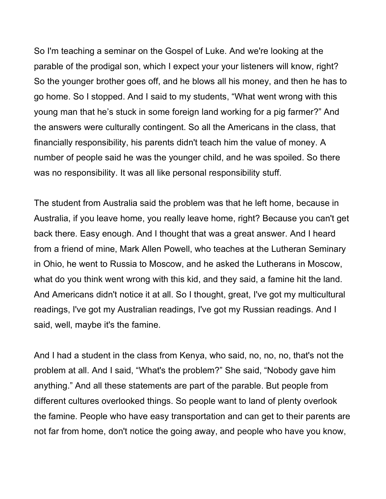So I'm teaching a seminar on the Gospel of Luke. And we're looking at the parable of the prodigal son, which I expect your your listeners will know, right? So the younger brother goes off, and he blows all his money, and then he has to go home. So I stopped. And I said to my students, "What went wrong with this young man that he's stuck in some foreign land working for a pig farmer?" And the answers were culturally contingent. So all the Americans in the class, that financially responsibility, his parents didn't teach him the value of money. A number of people said he was the younger child, and he was spoiled. So there was no responsibility. It was all like personal responsibility stuff.

The student from Australia said the problem was that he left home, because in Australia, if you leave home, you really leave home, right? Because you can't get back there. Easy enough. And I thought that was a great answer. And I heard from a friend of mine, Mark Allen Powell, who teaches at the Lutheran Seminary in Ohio, he went to Russia to Moscow, and he asked the Lutherans in Moscow, what do you think went wrong with this kid, and they said, a famine hit the land. And Americans didn't notice it at all. So I thought, great, I've got my multicultural readings, I've got my Australian readings, I've got my Russian readings. And I said, well, maybe it's the famine.

And I had a student in the class from Kenya, who said, no, no, no, that's not the problem at all. And I said, "What's the problem?" She said, "Nobody gave him anything." And all these statements are part of the parable. But people from different cultures overlooked things. So people want to land of plenty overlook the famine. People who have easy transportation and can get to their parents are not far from home, don't notice the going away, and people who have you know,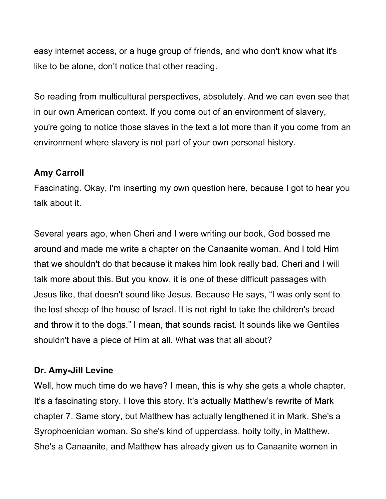easy internet access, or a huge group of friends, and who don't know what it's like to be alone, don't notice that other reading.

So reading from multicultural perspectives, absolutely. And we can even see that in our own American context. If you come out of an environment of slavery, you're going to notice those slaves in the text a lot more than if you come from an environment where slavery is not part of your own personal history.

### **Amy Carroll**

Fascinating. Okay, I'm inserting my own question here, because I got to hear you talk about it.

Several years ago, when Cheri and I were writing our book, God bossed me around and made me write a chapter on the Canaanite woman. And I told Him that we shouldn't do that because it makes him look really bad. Cheri and I will talk more about this. But you know, it is one of these difficult passages with Jesus like, that doesn't sound like Jesus. Because He says, "I was only sent to the lost sheep of the house of Israel. It is not right to take the children's bread and throw it to the dogs." I mean, that sounds racist. It sounds like we Gentiles shouldn't have a piece of Him at all. What was that all about?

### **Dr. Amy-Jill Levine**

Well, how much time do we have? I mean, this is why she gets a whole chapter. It's a fascinating story. I love this story. It's actually Matthew's rewrite of Mark chapter 7. Same story, but Matthew has actually lengthened it in Mark. She's a Syrophoenician woman. So she's kind of upperclass, hoity toity, in Matthew. She's a Canaanite, and Matthew has already given us to Canaanite women in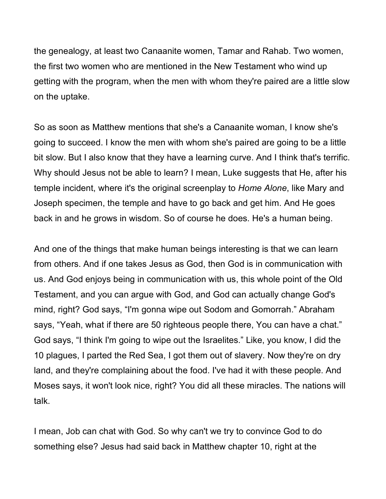the genealogy, at least two Canaanite women, Tamar and Rahab. Two women, the first two women who are mentioned in the New Testament who wind up getting with the program, when the men with whom they're paired are a little slow on the uptake.

So as soon as Matthew mentions that she's a Canaanite woman, I know she's going to succeed. I know the men with whom she's paired are going to be a little bit slow. But I also know that they have a learning curve. And I think that's terrific. Why should Jesus not be able to learn? I mean, Luke suggests that He, after his temple incident, where it's the original screenplay to *Home Alone*, like Mary and Joseph specimen, the temple and have to go back and get him. And He goes back in and he grows in wisdom. So of course he does. He's a human being.

And one of the things that make human beings interesting is that we can learn from others. And if one takes Jesus as God, then God is in communication with us. And God enjoys being in communication with us, this whole point of the Old Testament, and you can argue with God, and God can actually change God's mind, right? God says, "I'm gonna wipe out Sodom and Gomorrah." Abraham says, "Yeah, what if there are 50 righteous people there, You can have a chat." God says, "I think I'm going to wipe out the Israelites." Like, you know, I did the 10 plagues, I parted the Red Sea, I got them out of slavery. Now they're on dry land, and they're complaining about the food. I've had it with these people. And Moses says, it won't look nice, right? You did all these miracles. The nations will talk.

I mean, Job can chat with God. So why can't we try to convince God to do something else? Jesus had said back in Matthew chapter 10, right at the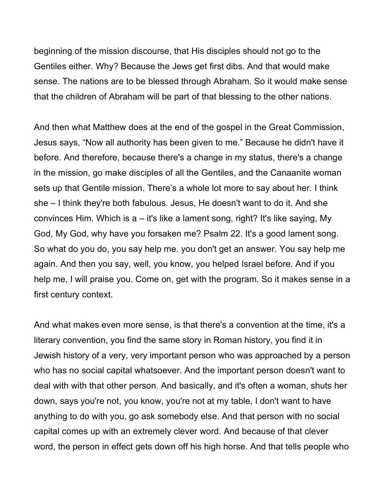beginning of the mission discourse, that His disciples should not go to the Gentiles either. Why? Because the Jews get first dibs. And that would make sense. The nations are to be blessed through Abraham. So it would make sense that the children of Abraham will be part of that blessing to the other nations.

And then what Matthew does at the end of the gospel in the Great Commission, Jesus says, "Now all authority has been given to me." Because he didn't have it before. And therefore, because there's a change in my status, there's a change in the mission, go make disciples of all the Gentiles, and the Canaanite woman sets up that Gentile mission. There's a whole lot more to say about her. I think she – I think they're both fabulous. Jesus, He doesn't want to do it. And she convinces Him. Which is a – it's like a lament song, right? It's like saying, My God, My God, why have you forsaken me? Psalm 22. It's a good lament song. So what do you do, you say help me. you don't get an answer. You say help me again. And then you say, well, you know, you helped Israel before. And if you help me, I will praise you. Come on, get with the program. So it makes sense in a first century context.

And what makes even more sense, is that there's a convention at the time, it's a literary convention, you find the same story in Roman history, you find it in Jewish history of a very, very important person who was approached by a person who has no social capital whatsoever. And the important person doesn't want to deal with with that other person. And basically, and it's often a woman, shuts her down, says you're not, you know, you're not at my table, I don't want to have anything to do with you, go ask somebody else. And that person with no social capital comes up with an extremely clever word. And because of that clever word, the person in effect gets down off his high horse. And that tells people who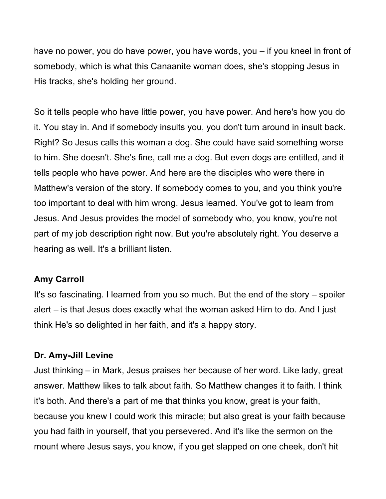have no power, you do have power, you have words, you – if you kneel in front of somebody, which is what this Canaanite woman does, she's stopping Jesus in His tracks, she's holding her ground.

So it tells people who have little power, you have power. And here's how you do it. You stay in. And if somebody insults you, you don't turn around in insult back. Right? So Jesus calls this woman a dog. She could have said something worse to him. She doesn't. She's fine, call me a dog. But even dogs are entitled, and it tells people who have power. And here are the disciples who were there in Matthew's version of the story. If somebody comes to you, and you think you're too important to deal with him wrong. Jesus learned. You've got to learn from Jesus. And Jesus provides the model of somebody who, you know, you're not part of my job description right now. But you're absolutely right. You deserve a hearing as well. It's a brilliant listen.

#### **Amy Carroll**

It's so fascinating. I learned from you so much. But the end of the story – spoiler alert – is that Jesus does exactly what the woman asked Him to do. And I just think He's so delighted in her faith, and it's a happy story.

#### **Dr. Amy-Jill Levine**

Just thinking – in Mark, Jesus praises her because of her word. Like lady, great answer. Matthew likes to talk about faith. So Matthew changes it to faith. I think it's both. And there's a part of me that thinks you know, great is your faith, because you knew I could work this miracle; but also great is your faith because you had faith in yourself, that you persevered. And it's like the sermon on the mount where Jesus says, you know, if you get slapped on one cheek, don't hit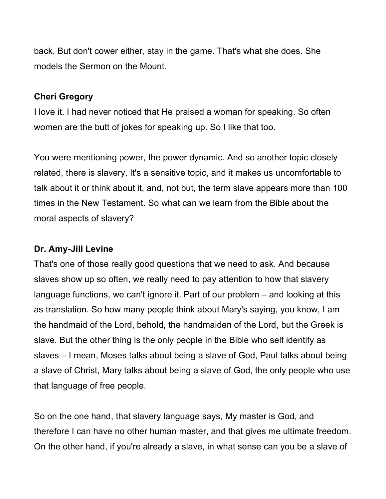back. But don't cower either, stay in the game. That's what she does. She models the Sermon on the Mount.

#### **Cheri Gregory**

I love it. I had never noticed that He praised a woman for speaking. So often women are the butt of jokes for speaking up. So I like that too.

You were mentioning power, the power dynamic. And so another topic closely related, there is slavery. It's a sensitive topic, and it makes us uncomfortable to talk about it or think about it, and, not but, the term slave appears more than 100 times in the New Testament. So what can we learn from the Bible about the moral aspects of slavery?

#### **Dr. Amy-Jill Levine**

That's one of those really good questions that we need to ask. And because slaves show up so often, we really need to pay attention to how that slavery language functions, we can't ignore it. Part of our problem – and looking at this as translation. So how many people think about Mary's saying, you know, I am the handmaid of the Lord, behold, the handmaiden of the Lord, but the Greek is slave. But the other thing is the only people in the Bible who self identify as slaves – I mean, Moses talks about being a slave of God, Paul talks about being a slave of Christ, Mary talks about being a slave of God, the only people who use that language of free people.

So on the one hand, that slavery language says, My master is God, and therefore I can have no other human master, and that gives me ultimate freedom. On the other hand, if you're already a slave, in what sense can you be a slave of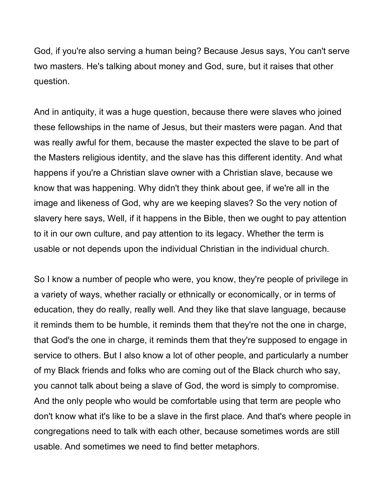God, if you're also serving a human being? Because Jesus says, You can't serve two masters. He's talking about money and God, sure, but it raises that other question.

And in antiquity, it was a huge question, because there were slaves who joined these fellowships in the name of Jesus, but their masters were pagan. And that was really awful for them, because the master expected the slave to be part of the Masters religious identity, and the slave has this different identity. And what happens if you're a Christian slave owner with a Christian slave, because we know that was happening. Why didn't they think about gee, if we're all in the image and likeness of God, why are we keeping slaves? So the very notion of slavery here says, Well, if it happens in the Bible, then we ought to pay attention to it in our own culture, and pay attention to its legacy. Whether the term is usable or not depends upon the individual Christian in the individual church.

So I know a number of people who were, you know, they're people of privilege in a variety of ways, whether racially or ethnically or economically, or in terms of education, they do really, really well. And they like that slave language, because it reminds them to be humble, it reminds them that they're not the one in charge, that God's the one in charge, it reminds them that they're supposed to engage in service to others. But I also know a lot of other people, and particularly a number of my Black friends and folks who are coming out of the Black church who say, you cannot talk about being a slave of God, the word is simply to compromise. And the only people who would be comfortable using that term are people who don't know what it's like to be a slave in the first place. And that's where people in congregations need to talk with each other, because sometimes words are still usable. And sometimes we need to find better metaphors.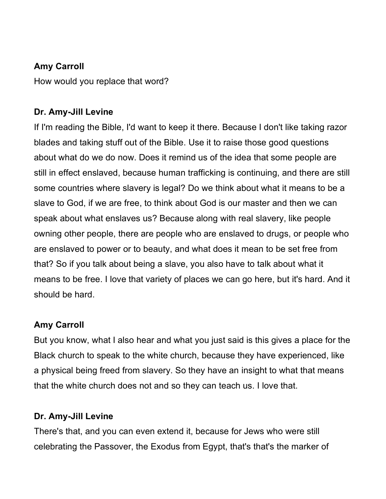### **Amy Carroll**

How would you replace that word?

### **Dr. Amy-Jill Levine**

If I'm reading the Bible, I'd want to keep it there. Because I don't like taking razor blades and taking stuff out of the Bible. Use it to raise those good questions about what do we do now. Does it remind us of the idea that some people are still in effect enslaved, because human trafficking is continuing, and there are still some countries where slavery is legal? Do we think about what it means to be a slave to God, if we are free, to think about God is our master and then we can speak about what enslaves us? Because along with real slavery, like people owning other people, there are people who are enslaved to drugs, or people who are enslaved to power or to beauty, and what does it mean to be set free from that? So if you talk about being a slave, you also have to talk about what it means to be free. I love that variety of places we can go here, but it's hard. And it should be hard.

### **Amy Carroll**

But you know, what I also hear and what you just said is this gives a place for the Black church to speak to the white church, because they have experienced, like a physical being freed from slavery. So they have an insight to what that means that the white church does not and so they can teach us. I love that.

### **Dr. Amy-Jill Levine**

There's that, and you can even extend it, because for Jews who were still celebrating the Passover, the Exodus from Egypt, that's that's the marker of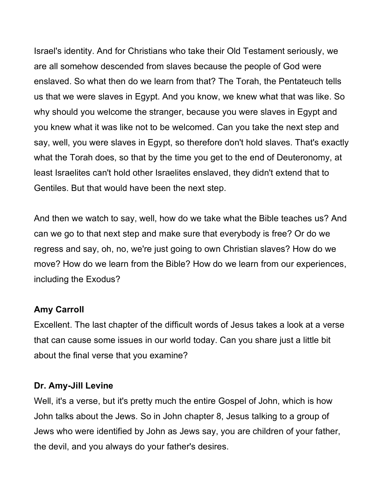Israel's identity. And for Christians who take their Old Testament seriously, we are all somehow descended from slaves because the people of God were enslaved. So what then do we learn from that? The Torah, the Pentateuch tells us that we were slaves in Egypt. And you know, we knew what that was like. So why should you welcome the stranger, because you were slaves in Egypt and you knew what it was like not to be welcomed. Can you take the next step and say, well, you were slaves in Egypt, so therefore don't hold slaves. That's exactly what the Torah does, so that by the time you get to the end of Deuteronomy, at least Israelites can't hold other Israelites enslaved, they didn't extend that to Gentiles. But that would have been the next step.

And then we watch to say, well, how do we take what the Bible teaches us? And can we go to that next step and make sure that everybody is free? Or do we regress and say, oh, no, we're just going to own Christian slaves? How do we move? How do we learn from the Bible? How do we learn from our experiences, including the Exodus?

#### **Amy Carroll**

Excellent. The last chapter of the difficult words of Jesus takes a look at a verse that can cause some issues in our world today. Can you share just a little bit about the final verse that you examine?

#### **Dr. Amy-Jill Levine**

Well, it's a verse, but it's pretty much the entire Gospel of John, which is how John talks about the Jews. So in John chapter 8, Jesus talking to a group of Jews who were identified by John as Jews say, you are children of your father, the devil, and you always do your father's desires.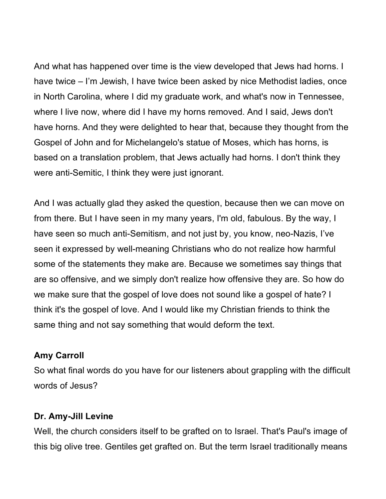And what has happened over time is the view developed that Jews had horns. I have twice – I'm Jewish, I have twice been asked by nice Methodist ladies, once in North Carolina, where I did my graduate work, and what's now in Tennessee, where I live now, where did I have my horns removed. And I said, Jews don't have horns. And they were delighted to hear that, because they thought from the Gospel of John and for Michelangelo's statue of Moses, which has horns, is based on a translation problem, that Jews actually had horns. I don't think they were anti-Semitic, I think they were just ignorant.

And I was actually glad they asked the question, because then we can move on from there. But I have seen in my many years, I'm old, fabulous. By the way, I have seen so much anti-Semitism, and not just by, you know, neo-Nazis, I've seen it expressed by well-meaning Christians who do not realize how harmful some of the statements they make are. Because we sometimes say things that are so offensive, and we simply don't realize how offensive they are. So how do we make sure that the gospel of love does not sound like a gospel of hate? I think it's the gospel of love. And I would like my Christian friends to think the same thing and not say something that would deform the text.

#### **Amy Carroll**

So what final words do you have for our listeners about grappling with the difficult words of Jesus?

#### **Dr. Amy-Jill Levine**

Well, the church considers itself to be grafted on to Israel. That's Paul's image of this big olive tree. Gentiles get grafted on. But the term Israel traditionally means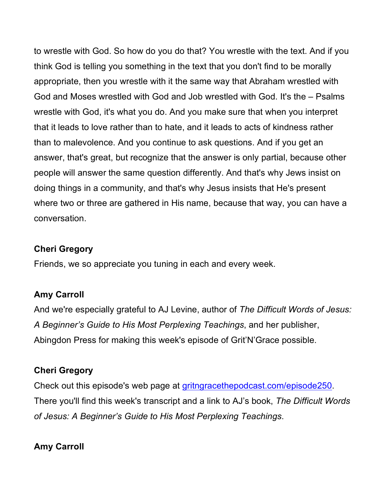to wrestle with God. So how do you do that? You wrestle with the text. And if you think God is telling you something in the text that you don't find to be morally appropriate, then you wrestle with it the same way that Abraham wrestled with God and Moses wrestled with God and Job wrestled with God. It's the – Psalms wrestle with God, it's what you do. And you make sure that when you interpret that it leads to love rather than to hate, and it leads to acts of kindness rather than to malevolence. And you continue to ask questions. And if you get an answer, that's great, but recognize that the answer is only partial, because other people will answer the same question differently. And that's why Jews insist on doing things in a community, and that's why Jesus insists that He's present where two or three are gathered in His name, because that way, you can have a conversation.

#### **Cheri Gregory**

Friends, we so appreciate you tuning in each and every week.

#### **Amy Carroll**

And we're especially grateful to AJ Levine, author of *The Difficult Words of Jesus: A Beginner's Guide to His Most Perplexing Teachings*, and her publisher, Abingdon Press for making this week's episode of Grit'N'Grace possible.

#### **Cheri Gregory**

Check out this episode's web page at gritngracethepodcast.com/episode250. There you'll find this week's transcript and a link to AJ's book, *The Difficult Words of Jesus: A Beginner's Guide to His Most Perplexing Teachings*.

### **Amy Carroll**